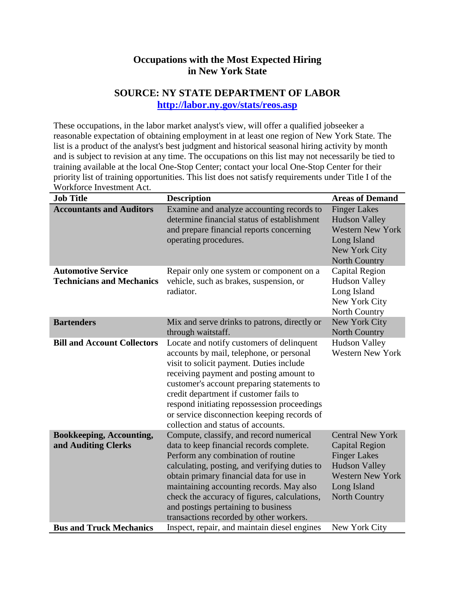## **Occupations with the Most Expected Hiring in New York State**

## **SOURCE: NY STATE DEPARTMENT OF LABOR <http://labor.ny.gov/stats/reos.asp>**

These occupations, in the labor market analyst's view, will offer a qualified jobseeker a reasonable expectation of obtaining employment in at least one region of New York State. The list is a product of the analyst's best judgment and historical seasonal hiring activity by month and is subject to revision at any time. The occupations on this list may not necessarily be tied to training available at the local One-Stop Center; contact your local One-Stop Center for their priority list of training opportunities. This list does not satisfy requirements under Title I of the Workforce Investment Act.

| <b>Job Title</b>                                              | <b>Description</b>                                                                                                                                                                                                                                                                                                                                                                                       | <b>Areas of Demand</b>                                                                                                                                            |
|---------------------------------------------------------------|----------------------------------------------------------------------------------------------------------------------------------------------------------------------------------------------------------------------------------------------------------------------------------------------------------------------------------------------------------------------------------------------------------|-------------------------------------------------------------------------------------------------------------------------------------------------------------------|
| <b>Accountants and Auditors</b>                               | Examine and analyze accounting records to<br>determine financial status of establishment<br>and prepare financial reports concerning<br>operating procedures.                                                                                                                                                                                                                                            | <b>Finger Lakes</b><br><b>Hudson Valley</b><br><b>Western New York</b><br>Long Island<br>New York City<br>North Country                                           |
| <b>Automotive Service</b><br><b>Technicians and Mechanics</b> | Repair only one system or component on a<br>vehicle, such as brakes, suspension, or<br>radiator.                                                                                                                                                                                                                                                                                                         | <b>Capital Region</b><br><b>Hudson Valley</b><br>Long Island<br>New York City<br>North Country                                                                    |
| <b>Bartenders</b>                                             | Mix and serve drinks to patrons, directly or<br>through waitstaff.                                                                                                                                                                                                                                                                                                                                       | New York City<br>North Country                                                                                                                                    |
| <b>Bill and Account Collectors</b>                            | Locate and notify customers of delinquent<br>accounts by mail, telephone, or personal<br>visit to solicit payment. Duties include<br>receiving payment and posting amount to<br>customer's account preparing statements to<br>credit department if customer fails to<br>respond initiating repossession proceedings<br>or service disconnection keeping records of<br>collection and status of accounts. | <b>Hudson Valley</b><br><b>Western New York</b>                                                                                                                   |
| <b>Bookkeeping, Accounting,</b><br>and Auditing Clerks        | Compute, classify, and record numerical<br>data to keep financial records complete.<br>Perform any combination of routine<br>calculating, posting, and verifying duties to<br>obtain primary financial data for use in<br>maintaining accounting records. May also<br>check the accuracy of figures, calculations,<br>and postings pertaining to business<br>transactions recorded by other workers.     | <b>Central New York</b><br><b>Capital Region</b><br><b>Finger Lakes</b><br><b>Hudson Valley</b><br><b>Western New York</b><br>Long Island<br><b>North Country</b> |
| <b>Bus and Truck Mechanics</b>                                | Inspect, repair, and maintain diesel engines                                                                                                                                                                                                                                                                                                                                                             | New York City                                                                                                                                                     |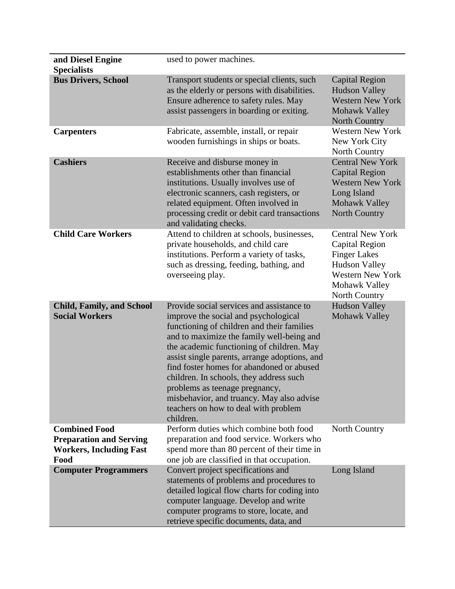| and Diesel Engine<br><b>Specialists</b>                                                          | used to power machines.                                                                                                                                                                                                                                                                                                                                                                                                                                                                                |                                                                                                                                                       |
|--------------------------------------------------------------------------------------------------|--------------------------------------------------------------------------------------------------------------------------------------------------------------------------------------------------------------------------------------------------------------------------------------------------------------------------------------------------------------------------------------------------------------------------------------------------------------------------------------------------------|-------------------------------------------------------------------------------------------------------------------------------------------------------|
| <b>Bus Drivers, School</b>                                                                       | Transport students or special clients, such<br>as the elderly or persons with disabilities.<br>Ensure adherence to safety rules. May<br>assist passengers in boarding or exiting.                                                                                                                                                                                                                                                                                                                      | <b>Capital Region</b><br><b>Hudson Valley</b><br><b>Western New York</b><br>Mohawk Valley<br><b>North Country</b>                                     |
| <b>Carpenters</b>                                                                                | Fabricate, assemble, install, or repair<br>wooden furnishings in ships or boats.                                                                                                                                                                                                                                                                                                                                                                                                                       | <b>Western New York</b><br>New York City<br>North Country                                                                                             |
| <b>Cashiers</b>                                                                                  | Receive and disburse money in<br>establishments other than financial<br>institutions. Usually involves use of<br>electronic scanners, cash registers, or<br>related equipment. Often involved in<br>processing credit or debit card transactions<br>and validating checks.                                                                                                                                                                                                                             | <b>Central New York</b><br><b>Capital Region</b><br><b>Western New York</b><br>Long Island<br>Mohawk Valley<br>North Country                          |
| <b>Child Care Workers</b>                                                                        | Attend to children at schools, businesses,<br>private households, and child care<br>institutions. Perform a variety of tasks,<br>such as dressing, feeding, bathing, and<br>overseeing play.                                                                                                                                                                                                                                                                                                           | <b>Central New York</b><br>Capital Region<br><b>Finger Lakes</b><br><b>Hudson Valley</b><br><b>Western New York</b><br>Mohawk Valley<br>North Country |
| <b>Child, Family, and School</b><br><b>Social Workers</b>                                        | Provide social services and assistance to<br>improve the social and psychological<br>functioning of children and their families<br>and to maximize the family well-being and<br>the academic functioning of children. May<br>assist single parents, arrange adoptions, and<br>find foster homes for abandoned or abused<br>children. In schools, they address such<br>problems as teenage pregnancy,<br>misbehavior, and truancy. May also advise<br>teachers on how to deal with problem<br>children. | <b>Hudson Valley</b><br><b>Mohawk Valley</b>                                                                                                          |
| <b>Combined Food</b><br><b>Preparation and Serving</b><br><b>Workers, Including Fast</b><br>Food | Perform duties which combine both food<br>preparation and food service. Workers who<br>spend more than 80 percent of their time in<br>one job are classified in that occupation.                                                                                                                                                                                                                                                                                                                       | North Country                                                                                                                                         |
| <b>Computer Programmers</b>                                                                      | Convert project specifications and<br>statements of problems and procedures to<br>detailed logical flow charts for coding into<br>computer language. Develop and write<br>computer programs to store, locate, and<br>retrieve specific documents, data, and                                                                                                                                                                                                                                            | Long Island                                                                                                                                           |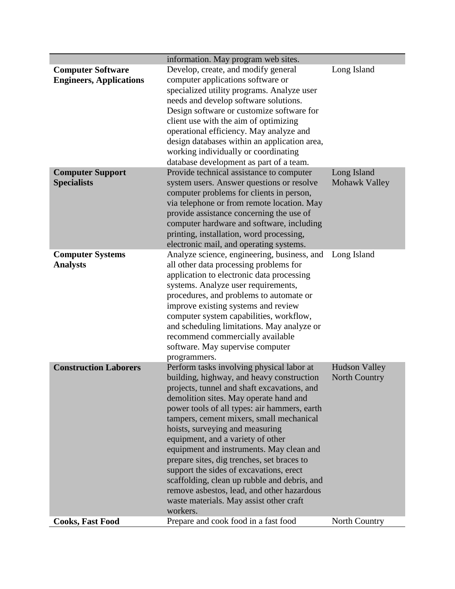|                                                            | information. May program web sites.                                                                                                                                                                                                                                                                                                                                                                                                                                                                                                                                                                                                           |                                              |
|------------------------------------------------------------|-----------------------------------------------------------------------------------------------------------------------------------------------------------------------------------------------------------------------------------------------------------------------------------------------------------------------------------------------------------------------------------------------------------------------------------------------------------------------------------------------------------------------------------------------------------------------------------------------------------------------------------------------|----------------------------------------------|
| <b>Computer Software</b><br><b>Engineers, Applications</b> | Develop, create, and modify general<br>computer applications software or<br>specialized utility programs. Analyze user<br>needs and develop software solutions.<br>Design software or customize software for<br>client use with the aim of optimizing<br>operational efficiency. May analyze and<br>design databases within an application area,                                                                                                                                                                                                                                                                                              | Long Island                                  |
| <b>Computer Support</b><br><b>Specialists</b>              | working individually or coordinating<br>database development as part of a team.<br>Provide technical assistance to computer<br>system users. Answer questions or resolve                                                                                                                                                                                                                                                                                                                                                                                                                                                                      | Long Island<br>Mohawk Valley                 |
|                                                            | computer problems for clients in person,<br>via telephone or from remote location. May<br>provide assistance concerning the use of<br>computer hardware and software, including<br>printing, installation, word processing,<br>electronic mail, and operating systems.                                                                                                                                                                                                                                                                                                                                                                        |                                              |
| <b>Computer Systems</b><br><b>Analysts</b>                 | Analyze science, engineering, business, and<br>all other data processing problems for<br>application to electronic data processing<br>systems. Analyze user requirements,<br>procedures, and problems to automate or<br>improve existing systems and review<br>computer system capabilities, workflow,<br>and scheduling limitations. May analyze or<br>recommend commercially available<br>software. May supervise computer<br>programmers.                                                                                                                                                                                                  | Long Island                                  |
| <b>Construction Laborers</b>                               | Perform tasks involving physical labor at<br>building, highway, and heavy construction<br>projects, tunnel and shaft excavations, and<br>demolition sites. May operate hand and<br>power tools of all types: air hammers, earth<br>tampers, cement mixers, small mechanical<br>hoists, surveying and measuring<br>equipment, and a variety of other<br>equipment and instruments. May clean and<br>prepare sites, dig trenches, set braces to<br>support the sides of excavations, erect<br>scaffolding, clean up rubble and debris, and<br>remove asbestos, lead, and other hazardous<br>waste materials. May assist other craft<br>workers. | <b>Hudson Valley</b><br><b>North Country</b> |
| <b>Cooks, Fast Food</b>                                    | Prepare and cook food in a fast food                                                                                                                                                                                                                                                                                                                                                                                                                                                                                                                                                                                                          | <b>North Country</b>                         |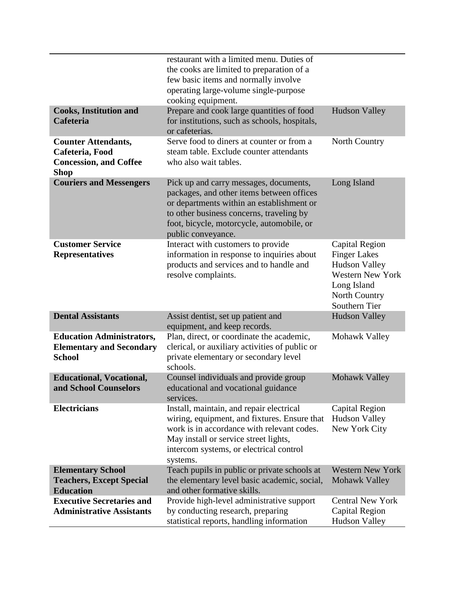|                                                                                               | restaurant with a limited menu. Duties of<br>the cooks are limited to preparation of a<br>few basic items and normally involve                                                                                                                  |                                                                                                                                                  |
|-----------------------------------------------------------------------------------------------|-------------------------------------------------------------------------------------------------------------------------------------------------------------------------------------------------------------------------------------------------|--------------------------------------------------------------------------------------------------------------------------------------------------|
|                                                                                               | operating large-volume single-purpose<br>cooking equipment.                                                                                                                                                                                     |                                                                                                                                                  |
| <b>Cooks, Institution and</b><br>Cafeteria                                                    | Prepare and cook large quantities of food<br>for institutions, such as schools, hospitals,<br>or cafeterias.                                                                                                                                    | <b>Hudson Valley</b>                                                                                                                             |
| <b>Counter Attendants,</b><br>Cafeteria, Food<br><b>Concession, and Coffee</b><br><b>Shop</b> | Serve food to diners at counter or from a<br>steam table. Exclude counter attendants<br>who also wait tables.                                                                                                                                   | North Country                                                                                                                                    |
| <b>Couriers and Messengers</b>                                                                | Pick up and carry messages, documents,<br>packages, and other items between offices<br>or departments within an establishment or<br>to other business concerns, traveling by<br>foot, bicycle, motorcycle, automobile, or<br>public conveyance. | Long Island                                                                                                                                      |
| <b>Customer Service</b><br><b>Representatives</b>                                             | Interact with customers to provide<br>information in response to inquiries about<br>products and services and to handle and<br>resolve complaints.                                                                                              | <b>Capital Region</b><br><b>Finger Lakes</b><br><b>Hudson Valley</b><br><b>Western New York</b><br>Long Island<br>North Country<br>Southern Tier |
| <b>Dental Assistants</b>                                                                      | Assist dentist, set up patient and<br>equipment, and keep records.                                                                                                                                                                              | <b>Hudson Valley</b>                                                                                                                             |
| <b>Education Administrators,</b><br><b>Elementary and Secondary</b><br><b>School</b>          | Plan, direct, or coordinate the academic,<br>clerical, or auxiliary activities of public or<br>private elementary or secondary level<br>schools.                                                                                                | Mohawk Valley                                                                                                                                    |
| <b>Educational, Vocational,</b><br>and School Counselors                                      | Counsel individuals and provide group<br>educational and vocational guidance<br>services.                                                                                                                                                       | Mohawk Valley                                                                                                                                    |
| <b>Electricians</b>                                                                           | Install, maintain, and repair electrical<br>wiring, equipment, and fixtures. Ensure that<br>work is in accordance with relevant codes.<br>May install or service street lights,<br>intercom systems, or electrical control<br>systems.          | Capital Region<br><b>Hudson Valley</b><br>New York City                                                                                          |
| <b>Elementary School</b><br><b>Teachers, Except Special</b><br><b>Education</b>               | Teach pupils in public or private schools at<br>the elementary level basic academic, social,<br>and other formative skills.                                                                                                                     | <b>Western New York</b><br>Mohawk Valley                                                                                                         |
| <b>Executive Secretaries and</b><br><b>Administrative Assistants</b>                          | Provide high-level administrative support<br>by conducting research, preparing<br>statistical reports, handling information                                                                                                                     | <b>Central New York</b><br><b>Capital Region</b><br><b>Hudson Valley</b>                                                                         |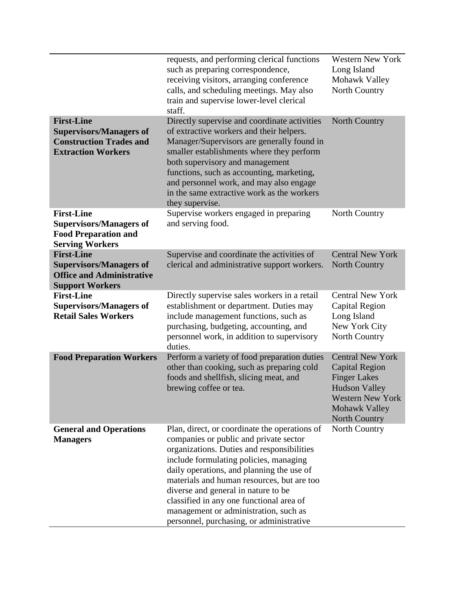|                                                                                                                    | requests, and performing clerical functions<br>such as preparing correspondence,<br>receiving visitors, arranging conference<br>calls, and scheduling meetings. May also<br>train and supervise lower-level clerical<br>staff.                                                                                                                                                                                                                     | <b>Western New York</b><br>Long Island<br>Mohawk Valley<br>North Country                                                                                            |
|--------------------------------------------------------------------------------------------------------------------|----------------------------------------------------------------------------------------------------------------------------------------------------------------------------------------------------------------------------------------------------------------------------------------------------------------------------------------------------------------------------------------------------------------------------------------------------|---------------------------------------------------------------------------------------------------------------------------------------------------------------------|
| <b>First-Line</b><br><b>Supervisors/Managers of</b><br><b>Construction Trades and</b><br><b>Extraction Workers</b> | Directly supervise and coordinate activities<br>of extractive workers and their helpers.<br>Manager/Supervisors are generally found in<br>smaller establishments where they perform<br>both supervisory and management<br>functions, such as accounting, marketing,<br>and personnel work, and may also engage<br>in the same extractive work as the workers<br>they supervise.                                                                    | <b>North Country</b>                                                                                                                                                |
| <b>First-Line</b><br><b>Supervisors/Managers of</b><br><b>Food Preparation and</b><br><b>Serving Workers</b>       | Supervise workers engaged in preparing<br>and serving food.                                                                                                                                                                                                                                                                                                                                                                                        | North Country                                                                                                                                                       |
| <b>First-Line</b><br><b>Supervisors/Managers of</b><br><b>Office and Administrative</b><br><b>Support Workers</b>  | Supervise and coordinate the activities of<br>clerical and administrative support workers.                                                                                                                                                                                                                                                                                                                                                         | <b>Central New York</b><br>North Country                                                                                                                            |
| <b>First-Line</b><br><b>Supervisors/Managers of</b><br><b>Retail Sales Workers</b>                                 | Directly supervise sales workers in a retail<br>establishment or department. Duties may<br>include management functions, such as<br>purchasing, budgeting, accounting, and<br>personnel work, in addition to supervisory<br>duties.                                                                                                                                                                                                                | <b>Central New York</b><br><b>Capital Region</b><br>Long Island<br>New York City<br>North Country                                                                   |
| <b>Food Preparation Workers</b>                                                                                    | Perform a variety of food preparation duties<br>other than cooking, such as preparing cold<br>foods and shellfish, slicing meat, and<br>brewing coffee or tea.                                                                                                                                                                                                                                                                                     | <b>Central New York</b><br><b>Capital Region</b><br><b>Finger Lakes</b><br><b>Hudson Valley</b><br><b>Western New York</b><br>Mohawk Valley<br><b>North Country</b> |
| <b>General and Operations</b><br><b>Managers</b>                                                                   | Plan, direct, or coordinate the operations of<br>companies or public and private sector<br>organizations. Duties and responsibilities<br>include formulating policies, managing<br>daily operations, and planning the use of<br>materials and human resources, but are too<br>diverse and general in nature to be<br>classified in any one functional area of<br>management or administration, such as<br>personnel, purchasing, or administrative | North Country                                                                                                                                                       |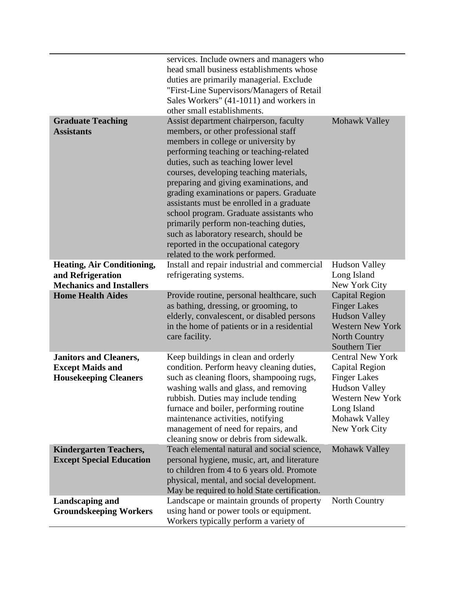|                                                                                           | services. Include owners and managers who<br>head small business establishments whose<br>duties are primarily managerial. Exclude<br>"First-Line Supervisors/Managers of Retail                                                                                                                                                                                                                                                                                                                                                                                                                  |                                                                                                                                                                      |
|-------------------------------------------------------------------------------------------|--------------------------------------------------------------------------------------------------------------------------------------------------------------------------------------------------------------------------------------------------------------------------------------------------------------------------------------------------------------------------------------------------------------------------------------------------------------------------------------------------------------------------------------------------------------------------------------------------|----------------------------------------------------------------------------------------------------------------------------------------------------------------------|
|                                                                                           | Sales Workers" (41-1011) and workers in<br>other small establishments.                                                                                                                                                                                                                                                                                                                                                                                                                                                                                                                           |                                                                                                                                                                      |
| <b>Graduate Teaching</b><br><b>Assistants</b>                                             | Assist department chairperson, faculty<br>members, or other professional staff<br>members in college or university by<br>performing teaching or teaching-related<br>duties, such as teaching lower level<br>courses, developing teaching materials,<br>preparing and giving examinations, and<br>grading examinations or papers. Graduate<br>assistants must be enrolled in a graduate<br>school program. Graduate assistants who<br>primarily perform non-teaching duties,<br>such as laboratory research, should be<br>reported in the occupational category<br>related to the work performed. | Mohawk Valley                                                                                                                                                        |
| <b>Heating, Air Conditioning,</b><br>and Refrigeration<br><b>Mechanics and Installers</b> | Install and repair industrial and commercial<br>refrigerating systems.                                                                                                                                                                                                                                                                                                                                                                                                                                                                                                                           | <b>Hudson Valley</b><br>Long Island<br>New York City                                                                                                                 |
| <b>Home Health Aides</b>                                                                  | Provide routine, personal healthcare, such<br>as bathing, dressing, or grooming, to<br>elderly, convalescent, or disabled persons<br>in the home of patients or in a residential<br>care facility.                                                                                                                                                                                                                                                                                                                                                                                               | <b>Capital Region</b><br><b>Finger Lakes</b><br><b>Hudson Valley</b><br><b>Western New York</b><br>North Country<br><b>Southern Tier</b>                             |
| <b>Janitors and Cleaners,</b><br><b>Except Maids and</b><br><b>Housekeeping Cleaners</b>  | Keep buildings in clean and orderly<br>condition. Perform heavy cleaning duties,<br>such as cleaning floors, shampooing rugs,<br>washing walls and glass, and removing<br>rubbish. Duties may include tending<br>furnace and boiler, performing routine<br>maintenance activities, notifying<br>management of need for repairs, and<br>cleaning snow or debris from sidewalk.                                                                                                                                                                                                                    | <b>Central New York</b><br>Capital Region<br><b>Finger Lakes</b><br><b>Hudson Valley</b><br><b>Western New York</b><br>Long Island<br>Mohawk Valley<br>New York City |
| <b>Kindergarten Teachers,</b><br><b>Except Special Education</b>                          | Teach elemental natural and social science,<br>personal hygiene, music, art, and literature<br>to children from 4 to 6 years old. Promote<br>physical, mental, and social development.<br>May be required to hold State certification.                                                                                                                                                                                                                                                                                                                                                           | Mohawk Valley                                                                                                                                                        |
| <b>Landscaping and</b><br><b>Groundskeeping Workers</b>                                   | Landscape or maintain grounds of property<br>using hand or power tools or equipment.<br>Workers typically perform a variety of                                                                                                                                                                                                                                                                                                                                                                                                                                                                   | North Country                                                                                                                                                        |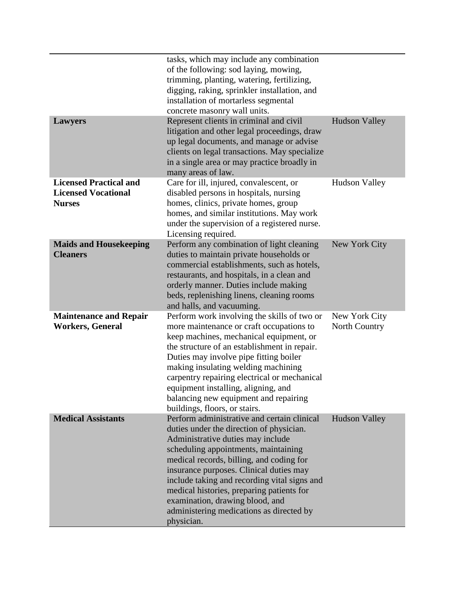|                                                                              | tasks, which may include any combination<br>of the following: sod laying, mowing,<br>trimming, planting, watering, fertilizing,<br>digging, raking, sprinkler installation, and<br>installation of mortarless segmental<br>concrete masonry wall units.                                                                                                                                                                                               |                                |
|------------------------------------------------------------------------------|-------------------------------------------------------------------------------------------------------------------------------------------------------------------------------------------------------------------------------------------------------------------------------------------------------------------------------------------------------------------------------------------------------------------------------------------------------|--------------------------------|
| <b>Lawyers</b>                                                               | Represent clients in criminal and civil<br>litigation and other legal proceedings, draw<br>up legal documents, and manage or advise<br>clients on legal transactions. May specialize<br>in a single area or may practice broadly in<br>many areas of law.                                                                                                                                                                                             | <b>Hudson Valley</b>           |
| <b>Licensed Practical and</b><br><b>Licensed Vocational</b><br><b>Nurses</b> | Care for ill, injured, convalescent, or<br>disabled persons in hospitals, nursing<br>homes, clinics, private homes, group<br>homes, and similar institutions. May work<br>under the supervision of a registered nurse.<br>Licensing required.                                                                                                                                                                                                         | <b>Hudson Valley</b>           |
| <b>Maids and Housekeeping</b><br><b>Cleaners</b>                             | Perform any combination of light cleaning<br>duties to maintain private households or<br>commercial establishments, such as hotels,<br>restaurants, and hospitals, in a clean and<br>orderly manner. Duties include making<br>beds, replenishing linens, cleaning rooms<br>and halls, and vacuuming.                                                                                                                                                  | New York City                  |
| <b>Maintenance and Repair</b><br><b>Workers, General</b>                     | Perform work involving the skills of two or<br>more maintenance or craft occupations to<br>keep machines, mechanical equipment, or<br>the structure of an establishment in repair.<br>Duties may involve pipe fitting boiler<br>making insulating welding machining<br>carpentry repairing electrical or mechanical<br>equipment installing, aligning, and<br>balancing new equipment and repairing<br>buildings, floors, or stairs.                  | New York City<br>North Country |
| <b>Medical Assistants</b>                                                    | Perform administrative and certain clinical<br>duties under the direction of physician.<br>Administrative duties may include<br>scheduling appointments, maintaining<br>medical records, billing, and coding for<br>insurance purposes. Clinical duties may<br>include taking and recording vital signs and<br>medical histories, preparing patients for<br>examination, drawing blood, and<br>administering medications as directed by<br>physician. | <b>Hudson Valley</b>           |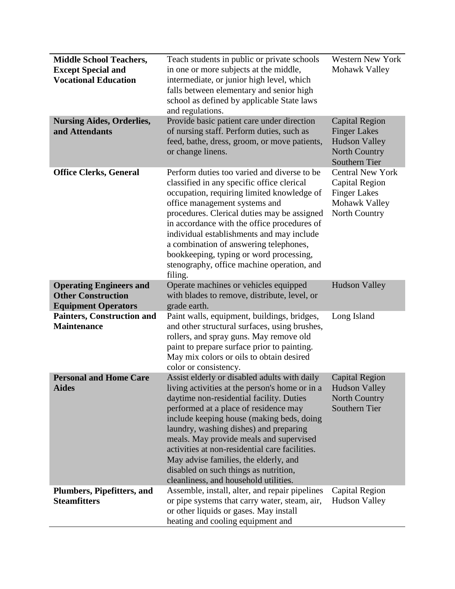| <b>Middle School Teachers,</b>    | Teach students in public or private schools                                             | <b>Western New York</b> |
|-----------------------------------|-----------------------------------------------------------------------------------------|-------------------------|
| <b>Except Special and</b>         | in one or more subjects at the middle,                                                  | Mohawk Valley           |
| <b>Vocational Education</b>       | intermediate, or junior high level, which                                               |                         |
|                                   | falls between elementary and senior high                                                |                         |
|                                   | school as defined by applicable State laws                                              |                         |
|                                   | and regulations.                                                                        |                         |
| <b>Nursing Aides, Orderlies,</b>  | Provide basic patient care under direction                                              | <b>Capital Region</b>   |
| and Attendants                    | of nursing staff. Perform duties, such as                                               | <b>Finger Lakes</b>     |
|                                   | feed, bathe, dress, groom, or move patients,                                            | <b>Hudson Valley</b>    |
|                                   | or change linens.                                                                       | North Country           |
|                                   |                                                                                         | Southern Tier           |
| <b>Office Clerks, General</b>     | Perform duties too varied and diverse to be                                             | <b>Central New York</b> |
|                                   | classified in any specific office clerical                                              | <b>Capital Region</b>   |
|                                   | occupation, requiring limited knowledge of                                              | <b>Finger Lakes</b>     |
|                                   | office management systems and                                                           | Mohawk Valley           |
|                                   | procedures. Clerical duties may be assigned                                             | North Country           |
|                                   | in accordance with the office procedures of                                             |                         |
|                                   | individual establishments and may include                                               |                         |
|                                   | a combination of answering telephones,                                                  |                         |
|                                   | bookkeeping, typing or word processing,                                                 |                         |
|                                   | stenography, office machine operation, and                                              |                         |
|                                   | filing.                                                                                 |                         |
| <b>Operating Engineers and</b>    | Operate machines or vehicles equipped                                                   | <b>Hudson Valley</b>    |
| <b>Other Construction</b>         | with blades to remove, distribute, level, or                                            |                         |
| <b>Equipment Operators</b>        | grade earth.                                                                            |                         |
| <b>Painters, Construction and</b> | Paint walls, equipment, buildings, bridges,                                             | Long Island             |
| <b>Maintenance</b>                | and other structural surfaces, using brushes,                                           |                         |
|                                   | rollers, and spray guns. May remove old                                                 |                         |
|                                   | paint to prepare surface prior to painting.<br>May mix colors or oils to obtain desired |                         |
|                                   | color or consistency.                                                                   |                         |
| <b>Personal and Home Care</b>     | Assist elderly or disabled adults with daily                                            | <b>Capital Region</b>   |
| <b>Aides</b>                      | living activities at the person's home or in a                                          | <b>Hudson Valley</b>    |
|                                   | daytime non-residential facility. Duties                                                | <b>North Country</b>    |
|                                   | performed at a place of residence may                                                   | Southern Tier           |
|                                   | include keeping house (making beds, doing                                               |                         |
|                                   | laundry, washing dishes) and preparing                                                  |                         |
|                                   | meals. May provide meals and supervised                                                 |                         |
|                                   | activities at non-residential care facilities.                                          |                         |
|                                   | May advise families, the elderly, and                                                   |                         |
|                                   | disabled on such things as nutrition,                                                   |                         |
|                                   | cleanliness, and household utilities.                                                   |                         |
| <b>Plumbers, Pipefitters, and</b> | Assemble, install, alter, and repair pipelines                                          | <b>Capital Region</b>   |
| <b>Steamfitters</b>               | or pipe systems that carry water, steam, air,                                           | <b>Hudson Valley</b>    |
|                                   | or other liquids or gases. May install                                                  |                         |
|                                   | heating and cooling equipment and                                                       |                         |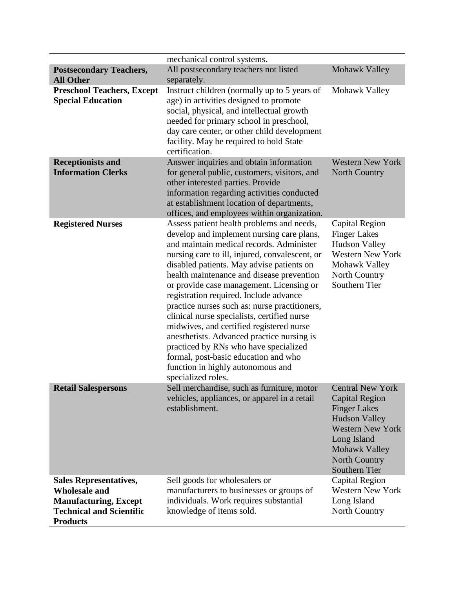|                                                                                                                                             | mechanical control systems.                                                                                                                                                                                                                                                                                                                                                                                                                                                                                                                                                                                                                                                                                |                                                                                                                                                                                                            |
|---------------------------------------------------------------------------------------------------------------------------------------------|------------------------------------------------------------------------------------------------------------------------------------------------------------------------------------------------------------------------------------------------------------------------------------------------------------------------------------------------------------------------------------------------------------------------------------------------------------------------------------------------------------------------------------------------------------------------------------------------------------------------------------------------------------------------------------------------------------|------------------------------------------------------------------------------------------------------------------------------------------------------------------------------------------------------------|
| <b>Postsecondary Teachers,</b><br><b>All Other</b>                                                                                          | All postsecondary teachers not listed<br>separately.                                                                                                                                                                                                                                                                                                                                                                                                                                                                                                                                                                                                                                                       | <b>Mohawk Valley</b>                                                                                                                                                                                       |
| <b>Preschool Teachers, Except</b><br><b>Special Education</b>                                                                               | Instruct children (normally up to 5 years of<br>age) in activities designed to promote<br>social, physical, and intellectual growth<br>needed for primary school in preschool,<br>day care center, or other child development<br>facility. May be required to hold State<br>certification.                                                                                                                                                                                                                                                                                                                                                                                                                 | Mohawk Valley                                                                                                                                                                                              |
| <b>Receptionists and</b><br><b>Information Clerks</b>                                                                                       | Answer inquiries and obtain information<br>for general public, customers, visitors, and<br>other interested parties. Provide<br>information regarding activities conducted<br>at establishment location of departments,<br>offices, and employees within organization.                                                                                                                                                                                                                                                                                                                                                                                                                                     | <b>Western New York</b><br>North Country                                                                                                                                                                   |
| <b>Registered Nurses</b>                                                                                                                    | Assess patient health problems and needs,<br>develop and implement nursing care plans,<br>and maintain medical records. Administer<br>nursing care to ill, injured, convalescent, or<br>disabled patients. May advise patients on<br>health maintenance and disease prevention<br>or provide case management. Licensing or<br>registration required. Include advance<br>practice nurses such as: nurse practitioners,<br>clinical nurse specialists, certified nurse<br>midwives, and certified registered nurse<br>anesthetists. Advanced practice nursing is<br>practiced by RNs who have specialized<br>formal, post-basic education and who<br>function in highly autonomous and<br>specialized roles. | <b>Capital Region</b><br><b>Finger Lakes</b><br><b>Hudson Valley</b><br><b>Western New York</b><br>Mohawk Valley<br>North Country<br>Southern Tier                                                         |
| <b>Retail Salespersons</b>                                                                                                                  | Sell merchandise, such as furniture, motor<br>vehicles, appliances, or apparel in a retail<br>establishment.                                                                                                                                                                                                                                                                                                                                                                                                                                                                                                                                                                                               | <b>Central New York</b><br>Capital Region<br><b>Finger Lakes</b><br><b>Hudson Valley</b><br><b>Western New York</b><br>Long Island<br><b>Mohawk Valley</b><br><b>North Country</b><br><b>Southern Tier</b> |
| <b>Sales Representatives,</b><br><b>Wholesale and</b><br><b>Manufacturing, Except</b><br><b>Technical and Scientific</b><br><b>Products</b> | Sell goods for wholesalers or<br>manufacturers to businesses or groups of<br>individuals. Work requires substantial<br>knowledge of items sold.                                                                                                                                                                                                                                                                                                                                                                                                                                                                                                                                                            | <b>Capital Region</b><br><b>Western New York</b><br>Long Island<br>North Country                                                                                                                           |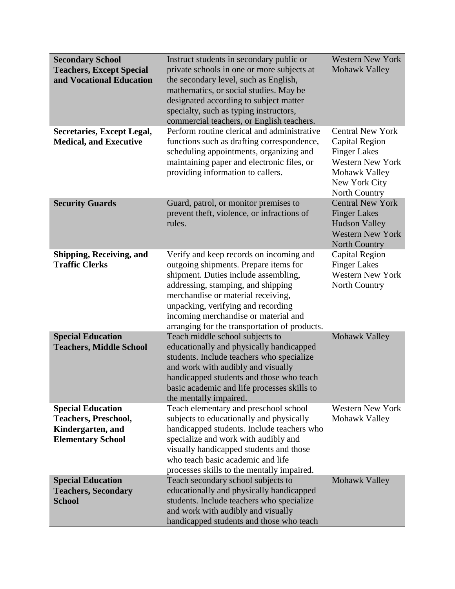| <b>Secondary School</b><br><b>Teachers, Except Special</b><br>and Vocational Education<br><b>Secretaries, Except Legal,</b><br><b>Medical, and Executive</b> | Instruct students in secondary public or<br>private schools in one or more subjects at<br>the secondary level, such as English,<br>mathematics, or social studies. May be<br>designated according to subject matter<br>specialty, such as typing instructors,<br>commercial teachers, or English teachers.<br>Perform routine clerical and administrative<br>functions such as drafting correspondence,<br>scheduling appointments, organizing and | <b>Western New York</b><br>Mohawk Valley<br><b>Central New York</b><br><b>Capital Region</b><br><b>Finger Lakes</b> |
|--------------------------------------------------------------------------------------------------------------------------------------------------------------|----------------------------------------------------------------------------------------------------------------------------------------------------------------------------------------------------------------------------------------------------------------------------------------------------------------------------------------------------------------------------------------------------------------------------------------------------|---------------------------------------------------------------------------------------------------------------------|
|                                                                                                                                                              | maintaining paper and electronic files, or<br>providing information to callers.                                                                                                                                                                                                                                                                                                                                                                    | Western New York<br>Mohawk Valley<br>New York City<br>North Country                                                 |
| <b>Security Guards</b>                                                                                                                                       | Guard, patrol, or monitor premises to<br>prevent theft, violence, or infractions of<br>rules.                                                                                                                                                                                                                                                                                                                                                      | <b>Central New York</b><br><b>Finger Lakes</b><br><b>Hudson Valley</b><br><b>Western New York</b><br>North Country  |
| Shipping, Receiving, and<br><b>Traffic Clerks</b>                                                                                                            | Verify and keep records on incoming and<br>outgoing shipments. Prepare items for<br>shipment. Duties include assembling,<br>addressing, stamping, and shipping<br>merchandise or material receiving,<br>unpacking, verifying and recording<br>incoming merchandise or material and<br>arranging for the transportation of products.                                                                                                                | Capital Region<br><b>Finger Lakes</b><br><b>Western New York</b><br>North Country                                   |
| <b>Special Education</b><br><b>Teachers, Middle School</b>                                                                                                   | Teach middle school subjects to<br>educationally and physically handicapped<br>students. Include teachers who specialize<br>and work with audibly and visually<br>handicapped students and those who teach<br>basic academic and life processes skills to<br>the mentally impaired.                                                                                                                                                                | Mohawk Valley                                                                                                       |
| <b>Special Education</b><br><b>Teachers, Preschool,</b><br>Kindergarten, and<br><b>Elementary School</b>                                                     | Teach elementary and preschool school<br>subjects to educationally and physically<br>handicapped students. Include teachers who<br>specialize and work with audibly and<br>visually handicapped students and those<br>who teach basic academic and life<br>processes skills to the mentally impaired.                                                                                                                                              | <b>Western New York</b><br>Mohawk Valley                                                                            |
| <b>Special Education</b><br><b>Teachers, Secondary</b><br><b>School</b>                                                                                      | Teach secondary school subjects to<br>educationally and physically handicapped<br>students. Include teachers who specialize<br>and work with audibly and visually<br>handicapped students and those who teach                                                                                                                                                                                                                                      | Mohawk Valley                                                                                                       |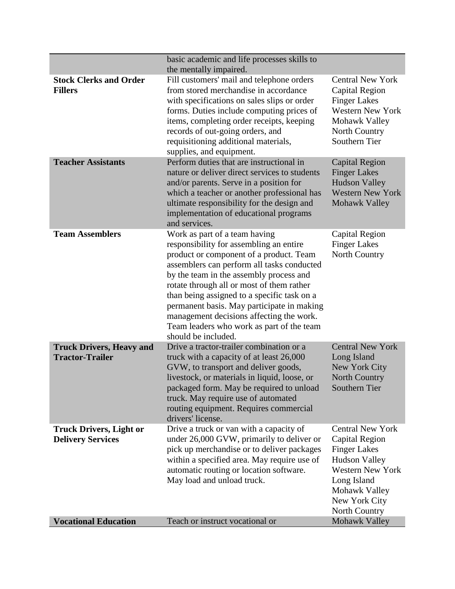|                                                            | basic academic and life processes skills to<br>the mentally impaired.                                                                                                                                                                                                                                                                                                                                                                                                  |                                                                                                                                                                                       |
|------------------------------------------------------------|------------------------------------------------------------------------------------------------------------------------------------------------------------------------------------------------------------------------------------------------------------------------------------------------------------------------------------------------------------------------------------------------------------------------------------------------------------------------|---------------------------------------------------------------------------------------------------------------------------------------------------------------------------------------|
| <b>Stock Clerks and Order</b><br><b>Fillers</b>            | Fill customers' mail and telephone orders<br>from stored merchandise in accordance<br>with specifications on sales slips or order<br>forms. Duties include computing prices of<br>items, completing order receipts, keeping<br>records of out-going orders, and<br>requisitioning additional materials,<br>supplies, and equipment.                                                                                                                                    | <b>Central New York</b><br><b>Capital Region</b><br><b>Finger Lakes</b><br><b>Western New York</b><br>Mohawk Valley<br>North Country<br>Southern Tier                                 |
| <b>Teacher Assistants</b>                                  | Perform duties that are instructional in<br>nature or deliver direct services to students<br>and/or parents. Serve in a position for<br>which a teacher or another professional has<br>ultimate responsibility for the design and<br>implementation of educational programs<br>and services.                                                                                                                                                                           | <b>Capital Region</b><br><b>Finger Lakes</b><br><b>Hudson Valley</b><br><b>Western New York</b><br>Mohawk Valley                                                                      |
| <b>Team Assemblers</b>                                     | Work as part of a team having<br>responsibility for assembling an entire<br>product or component of a product. Team<br>assemblers can perform all tasks conducted<br>by the team in the assembly process and<br>rotate through all or most of them rather<br>than being assigned to a specific task on a<br>permanent basis. May participate in making<br>management decisions affecting the work.<br>Team leaders who work as part of the team<br>should be included. | Capital Region<br><b>Finger Lakes</b><br>North Country                                                                                                                                |
| <b>Truck Drivers, Heavy and</b><br><b>Tractor-Trailer</b>  | Drive a tractor-trailer combination or a<br>truck with a capacity of at least 26,000<br>GVW, to transport and deliver goods,<br>livestock, or materials in liquid, loose, or<br>packaged form. May be required to unload<br>truck. May require use of automated<br>routing equipment. Requires commercial<br>drivers' license.                                                                                                                                         | <b>Central New York</b><br>Long Island<br>New York City<br><b>North Country</b><br><b>Southern Tier</b>                                                                               |
| <b>Truck Drivers, Light or</b><br><b>Delivery Services</b> | Drive a truck or van with a capacity of<br>under 26,000 GVW, primarily to deliver or<br>pick up merchandise or to deliver packages<br>within a specified area. May require use of<br>automatic routing or location software.<br>May load and unload truck.                                                                                                                                                                                                             | <b>Central New York</b><br>Capital Region<br><b>Finger Lakes</b><br><b>Hudson Valley</b><br><b>Western New York</b><br>Long Island<br>Mohawk Valley<br>New York City<br>North Country |
| <b>Vocational Education</b>                                | Teach or instruct vocational or                                                                                                                                                                                                                                                                                                                                                                                                                                        | Mohawk Valley                                                                                                                                                                         |